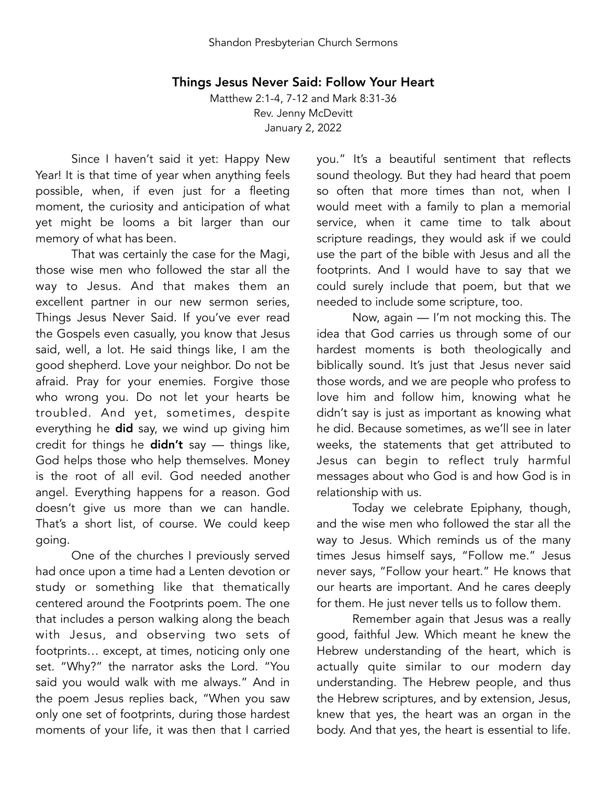## Things Jesus Never Said: Follow Your Heart

Matthew 2:1-4, 7-12 and Mark 8:31-36 Rev. Jenny McDevitt January 2, 2022

Since I haven't said it yet: Happy New Year! It is that time of year when anything feels possible, when, if even just for a fleeting moment, the curiosity and anticipation of what yet might be looms a bit larger than our memory of what has been.

That was certainly the case for the Magi, those wise men who followed the star all the way to Jesus. And that makes them an excellent partner in our new sermon series, Things Jesus Never Said. If you've ever read the Gospels even casually, you know that Jesus said, well, a lot. He said things like, I am the good shepherd. Love your neighbor. Do not be afraid. Pray for your enemies. Forgive those who wrong you. Do not let your hearts be troubled. And yet, sometimes, despite everything he did say, we wind up giving him credit for things he  $didn't$  say  $-$  things like, God helps those who help themselves. Money is the root of all evil. God needed another angel. Everything happens for a reason. God doesn't give us more than we can handle. That's a short list, of course. We could keep going.

One of the churches I previously served had once upon a time had a Lenten devotion or study or something like that thematically centered around the Footprints poem. The one that includes a person walking along the beach with Jesus, and observing two sets of footprints… except, at times, noticing only one set. "Why?" the narrator asks the Lord. "You said you would walk with me always." And in the poem Jesus replies back, "When you saw only one set of footprints, during those hardest moments of your life, it was then that I carried

you." It's a beautiful sentiment that reflects sound theology. But they had heard that poem so often that more times than not, when I would meet with a family to plan a memorial service, when it came time to talk about scripture readings, they would ask if we could use the part of the bible with Jesus and all the footprints. And I would have to say that we could surely include that poem, but that we needed to include some scripture, too.

Now, again — I'm not mocking this. The idea that God carries us through some of our hardest moments is both theologically and biblically sound. It's just that Jesus never said those words, and we are people who profess to love him and follow him, knowing what he didn't say is just as important as knowing what he did. Because sometimes, as we'll see in later weeks, the statements that get attributed to Jesus can begin to reflect truly harmful messages about who God is and how God is in relationship with us.

Today we celebrate Epiphany, though, and the wise men who followed the star all the way to Jesus. Which reminds us of the many times Jesus himself says, "Follow me." Jesus never says, "Follow your heart." He knows that our hearts are important. And he cares deeply for them. He just never tells us to follow them.

Remember again that Jesus was a really good, faithful Jew. Which meant he knew the Hebrew understanding of the heart, which is actually quite similar to our modern day understanding. The Hebrew people, and thus the Hebrew scriptures, and by extension, Jesus, knew that yes, the heart was an organ in the body. And that yes, the heart is essential to life.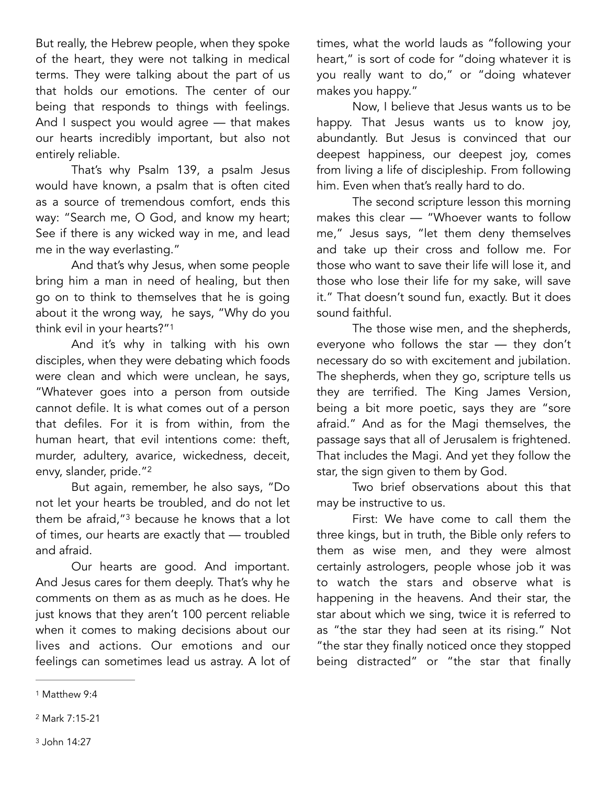But really, the Hebrew people, when they spoke of the heart, they were not talking in medical terms. They were talking about the part of us that holds our emotions. The center of our being that responds to things with feelings. And I suspect you would agree — that makes our hearts incredibly important, but also not entirely reliable.

That's why Psalm 139, a psalm Jesus would have known, a psalm that is often cited as a source of tremendous comfort, ends this way: "Search me, O God, and know my heart; See if there is any wicked way in me, and lead me in the way everlasting."

And that's why Jesus, when some people bring him a man in need of healing, but then go on to think to themselves that he is going about it the wrong way, he says, "Why do you think evil in your hearts?["1](#page-1-0)

<span id="page-1-3"></span>And it's why in talking with his own disciples, when they were debating which foods were clean and which were unclean, he says, "Whatever goes into a person from outside cannot defile. It is what comes out of a person that defiles. For it is from within, from the human heart, that evil intentions come: theft, murder, adultery, avarice, wickedness, deceit, envy, slander, pride."<sup>[2](#page-1-1)</sup>

<span id="page-1-5"></span><span id="page-1-4"></span>But again, remember, he also says, "Do not let your hearts be troubled, and do not let them be afraid," $3$  because he knows that a lot of times, our hearts are exactly that — troubled and afraid.

Our hearts are good. And important. And Jesus cares for them deeply. That's why he comments on them as as much as he does. He just knows that they aren't 100 percent reliable when it comes to making decisions about our lives and actions. Our emotions and our feelings can sometimes lead us astray. A lot of times, what the world lauds as "following your heart," is sort of code for "doing whatever it is you really want to do," or "doing whatever makes you happy."

Now, I believe that Jesus wants us to be happy. That Jesus wants us to know joy, abundantly. But Jesus is convinced that our deepest happiness, our deepest joy, comes from living a life of discipleship. From following him. Even when that's really hard to do.

The second scripture lesson this morning makes this clear — "Whoever wants to follow me," Jesus says, "let them deny themselves and take up their cross and follow me. For those who want to save their life will lose it, and those who lose their life for my sake, will save it." That doesn't sound fun, exactly. But it does sound faithful.

The those wise men, and the shepherds, everyone who follows the star — they don't necessary do so with excitement and jubilation. The shepherds, when they go, scripture tells us they are terrified. The King James Version, being a bit more poetic, says they are "sore afraid." And as for the Magi themselves, the passage says that all of Jerusalem is frightened. That includes the Magi. And yet they follow the star, the sign given to them by God.

Two brief observations about this that may be instructive to us.

First: We have come to call them the three kings, but in truth, the Bible only refers to them as wise men, and they were almost certainly astrologers, people whose job it was to watch the stars and observe what is happening in the heavens. And their star, the star about which we sing, twice it is referred to as "the star they had seen at its rising." Not "the star they finally noticed once they stopped being distracted" or "the star that finally

<span id="page-1-0"></span>[<sup>1</sup>](#page-1-3) Matthew 9:4

<span id="page-1-2"></span><span id="page-1-1"></span>[<sup>2</sup>](#page-1-4) Mark 7:15-21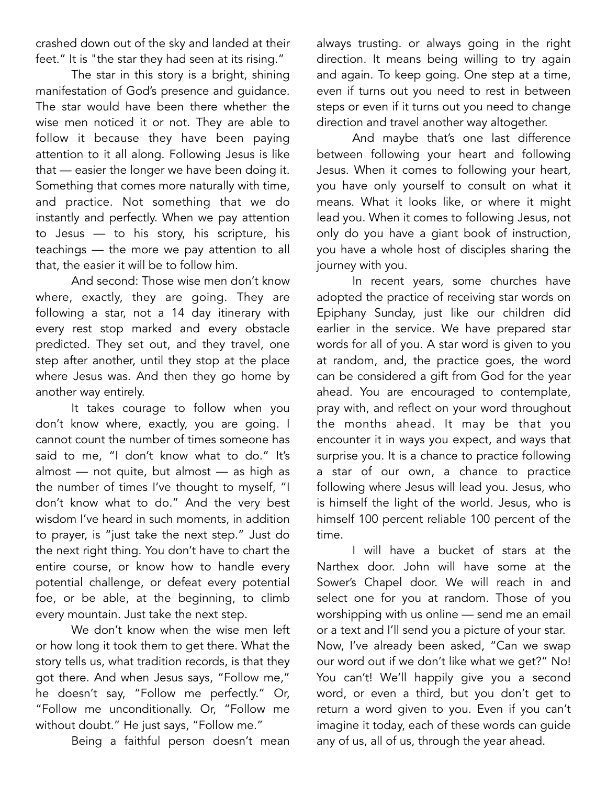crashed down out of the sky and landed at their feet." It is "the star they had seen at its rising."

The star in this story is a bright, shining manifestation of God's presence and guidance. The star would have been there whether the wise men noticed it or not. They are able to follow it because they have been paying attention to it all along. Following Jesus is like that — easier the longer we have been doing it. Something that comes more naturally with time, and practice. Not something that we do instantly and perfectly. When we pay attention to Jesus — to his story, his scripture, his teachings — the more we pay attention to all that, the easier it will be to follow him.

And second: Those wise men don't know where, exactly, they are going. They are following a star, not a 14 day itinerary with every rest stop marked and every obstacle predicted. They set out, and they travel, one step after another, until they stop at the place where Jesus was. And then they go home by another way entirely.

It takes courage to follow when you don't know where, exactly, you are going. I cannot count the number of times someone has said to me, "I don't know what to do." It's almost — not quite, but almost — as high as the number of times I've thought to myself, "I don't know what to do." And the very best wisdom I've heard in such moments, in addition to prayer, is "just take the next step." Just do the next right thing. You don't have to chart the entire course, or know how to handle every potential challenge, or defeat every potential foe, or be able, at the beginning, to climb every mountain. Just take the next step.

We don't know when the wise men left or how long it took them to get there. What the story tells us, what tradition records, is that they got there. And when Jesus says, "Follow me," he doesn't say, "Follow me perfectly." Or, "Follow me unconditionally. Or, "Follow me without doubt." He just says, "Follow me."

Being a faithful person doesn't mean

always trusting. or always going in the right direction. It means being willing to try again and again. To keep going. One step at a time, even if turns out you need to rest in between steps or even if it turns out you need to change direction and travel another way altogether.

And maybe that's one last difference between following your heart and following Jesus. When it comes to following your heart, you have only yourself to consult on what it means. What it looks like, or where it might lead you. When it comes to following Jesus, not only do you have a giant book of instruction, you have a whole host of disciples sharing the journey with you.

In recent years, some churches have adopted the practice of receiving star words on Epiphany Sunday, just like our children did earlier in the service. We have prepared star words for all of you. A star word is given to you at random, and, the practice goes, the word can be considered a gift from God for the year ahead. You are encouraged to contemplate, pray with, and reflect on your word throughout the months ahead. It may be that you encounter it in ways you expect, and ways that surprise you. It is a chance to practice following a star of our own, a chance to practice following where Jesus will lead you. Jesus, who is himself the light of the world. Jesus, who is himself 100 percent reliable 100 percent of the time.

I will have a bucket of stars at the Narthex door. John will have some at the Sower's Chapel door. We will reach in and select one for you at random. Those of you worshipping with us online — send me an email or a text and I'll send you a picture of your star. Now, I've already been asked, "Can we swap our word out if we don't like what we get?" No! You can't! We'll happily give you a second word, or even a third, but you don't get to return a word given to you. Even if you can't imagine it today, each of these words can guide any of us, all of us, through the year ahead.